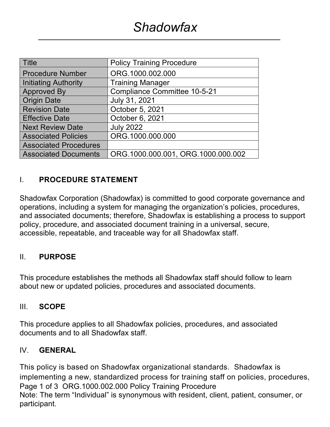| <b>Title</b>                 | <b>Policy Training Procedure</b>    |  |
|------------------------------|-------------------------------------|--|
| <b>Procedure Number</b>      | ORG.1000.002.000                    |  |
| Initiating Authority         | <b>Training Manager</b>             |  |
| <b>Approved By</b>           | <b>Compliance Committee 10-5-21</b> |  |
| <b>Origin Date</b>           | July 31, 2021                       |  |
| <b>Revision Date</b>         | October 5, 2021                     |  |
| <b>Effective Date</b>        | October 6, 2021                     |  |
| <b>Next Review Date</b>      | <b>July 2022</b>                    |  |
| <b>Associated Policies</b>   | ORG.1000.000.000                    |  |
| <b>Associated Procedures</b> |                                     |  |
| <b>Associated Documents</b>  | ORG.1000.000.001, ORG.1000.000.002  |  |

## I. **PROCEDURE STATEMENT**

Shadowfax Corporation (Shadowfax) is committed to good corporate governance and operations, including a system for managing the organization's policies, procedures, and associated documents; therefore, Shadowfax is establishing a process to support policy, procedure, and associated document training in a universal, secure, accessible, repeatable, and traceable way for all Shadowfax staff.

### II. **PURPOSE**

This procedure establishes the methods all Shadowfax staff should follow to learn about new or updated policies, procedures and associated documents.

### III. **SCOPE**

This procedure applies to all Shadowfax policies, procedures, and associated documents and to all Shadowfax staff.

#### IV. **GENERAL**

Page 1 of 3 ORG.1000.002.000 Policy Training Procedure Note: The term "Individual" is synonymous with resident, client, patient, consumer, or participant. This policy is based on Shadowfax organizational standards. Shadowfax is implementing a new, standardized process for training staff on policies, procedures,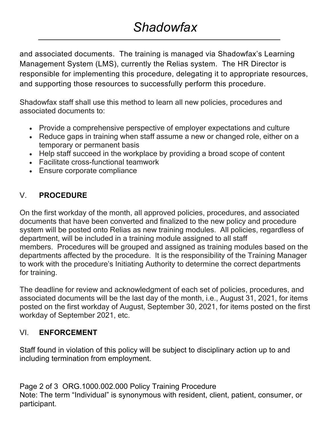# *Shadowfax*

and associated documents. The training is managed via Shadowfax's Learning Management System (LMS), currently the Relias system. The HR Director is responsible for implementing this procedure, delegating it to appropriate resources, and supporting those resources to successfully perform this procedure.

Shadowfax staff shall use this method to learn all new policies, procedures and associated documents to:

- Provide a comprehensive perspective of employer expectations and culture
- Reduce gaps in training when staff assume a new or changed role, either on a temporary or permanent basis
- Help staff succeed in the workplace by providing a broad scope of content
- Facilitate cross-functional teamwork
- Ensure corporate compliance

## V. **PROCEDURE**

On the first workday of the month, all approved policies, procedures, and associated documents that have been converted and finalized to the new policy and procedure system will be posted onto Relias as new training modules. All policies, regardless of department, will be included in a training module assigned to all staff members. Procedures will be grouped and assigned as training modules based on the departments affected by the procedure. It is the responsibility of the Training Manager to work with the procedure's Initiating Authority to determine the correct departments for training.

The deadline for review and acknowledgment of each set of policies, procedures, and associated documents will be the last day of the month, i.e., August 31, 2021, for items posted on the first workday of August, September 30, 2021, for items posted on the first workday of September 2021, etc.

### VI. **ENFORCEMENT**

Staff found in violation of this policy will be subject to disciplinary action up to and including termination from employment.

Page 2 of 3 ORG.1000.002.000 Policy Training Procedure Note: The term "Individual" is synonymous with resident, client, patient, consumer, or participant.